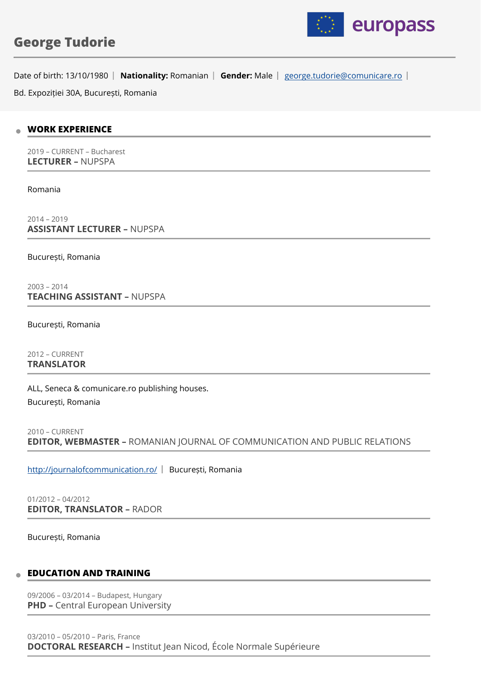

# **George Tudorie**

Date of birth: 13/10/1980 | Nationality: Romanian | Gender: Male | [george.tudorie@comunicare.ro](mailto:george.tudorie@comunicare.ro) |

Bd. Expoziției 30A, București, Romania

#### **WORK EXPERIENCE**  $\mathfrak{m}$

2019 – CURRENT – Bucharest **LECTURER –** NUPSPA

Romania

2014 – 2019 **ASSISTANT LECTURER –** NUPSPA

București, Romania

2003 – 2014 **TEACHING ASSISTANT –** NUPSPA

București, Romania

2012 – CURRENT **TRANSLATOR** 

ALL, Seneca & comunicare.ro publishing houses. București, Romania

```
2010 – CURRENT 
EDITOR, WEBMASTER – ROMANIAN JOURNAL OF COMMUNICATION AND PUBLIC RELATIONS
```
<http://journalofcommunication.ro/>| București, Romania

01/2012 – 04/2012 **EDITOR, TRANSLATOR –** RADOR

București, Romania

### **EDUCATION AND TRAINING**

09/2006 – 03/2014 – Budapest, Hungary **PHD - Central European University**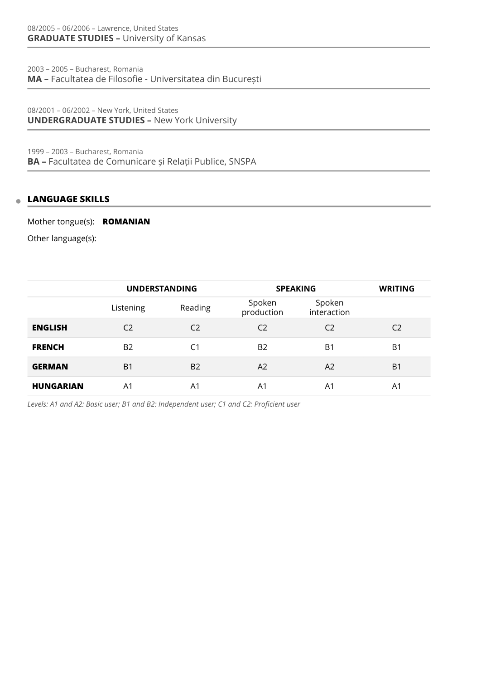2003 – 2005 – Bucharest, Romania **MA –** Facultatea de Filosofie - Universitatea din București

08/2001 – 06/2002 – New York, United States **UNDERGRADUATE STUDIES –** New York University

1999 – 2003 – Bucharest, Romania **BA –** Facultatea de Comunicare și Relații Publice, SNSPA

#### **LANGUAGE SKILLS**  $\triangle$

Mother tongue(s): **ROMANIAN**

Other language(s):

|                  | <b>UNDERSTANDING</b> |                | <b>SPEAKING</b>      |                       | <b>WRITING</b> |
|------------------|----------------------|----------------|----------------------|-----------------------|----------------|
|                  | Listening            | Reading        | Spoken<br>production | Spoken<br>interaction |                |
| <b>ENGLISH</b>   | C <sub>2</sub>       | C <sub>2</sub> | C <sub>2</sub>       | C <sub>2</sub>        | C <sub>2</sub> |
| <b>FRENCH</b>    | <b>B2</b>            | C <sub>1</sub> | <b>B2</b>            | B1                    | B1             |
| <b>GERMAN</b>    | B <sub>1</sub>       | <b>B2</b>      | A2                   | A2                    | B1             |
| <b>HUNGARIAN</b> | A1                   | A <sub>1</sub> | A1                   | A1                    | A1             |

*Levels: A1 and A2: Basic user; B1 and B2: Independent user; C1 and C2: Proficient user*